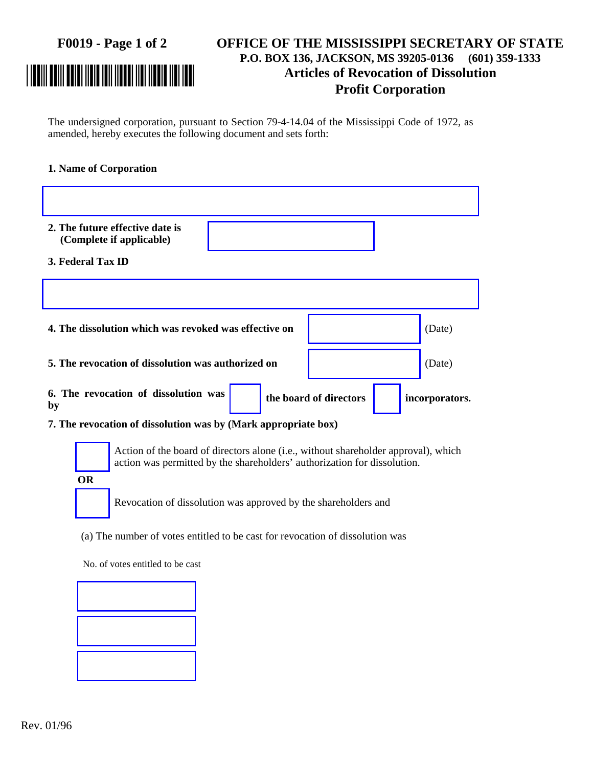## **F0019 - Page 1 of 2 OFFICE OF THE MISSISSIPPI SECRETARY OF STATE P.O. BOX 136, JACKSON, MS 39205-0136 (601) 359-1333** \*0019-1-2\* **Articles of Revocation of Dissolution Profit Corporation**

The undersigned corporation, pursuant to Section 79-4-14.04 of the Mississippi Code of 1972, as amended, hereby executes the following document and sets forth:

## **1. Name of Corporation**

| 2. The future effective date is<br>(Complete if applicable)    |                        |                |  |  |  |
|----------------------------------------------------------------|------------------------|----------------|--|--|--|
| 3. Federal Tax ID                                              |                        |                |  |  |  |
|                                                                |                        |                |  |  |  |
| 4. The dissolution which was revoked was effective on          |                        | (Date)         |  |  |  |
| 5. The revocation of dissolution was authorized on             |                        | (Date)         |  |  |  |
| 6. The revocation of dissolution was<br>by                     | the board of directors | incorporators. |  |  |  |
| 7. The revocation of dissolution was by (Mark appropriate box) |                        |                |  |  |  |

**OR**

Action of the board of directors alone (i.e., without shareholder approval), which action was permitted by the shareholders' authorization for dissolution.

Revocation of dissolution was approved by the shareholders and

(a) The number of votes entitled to be cast for revocation of dissolution was

No. of votes entitled to be cast